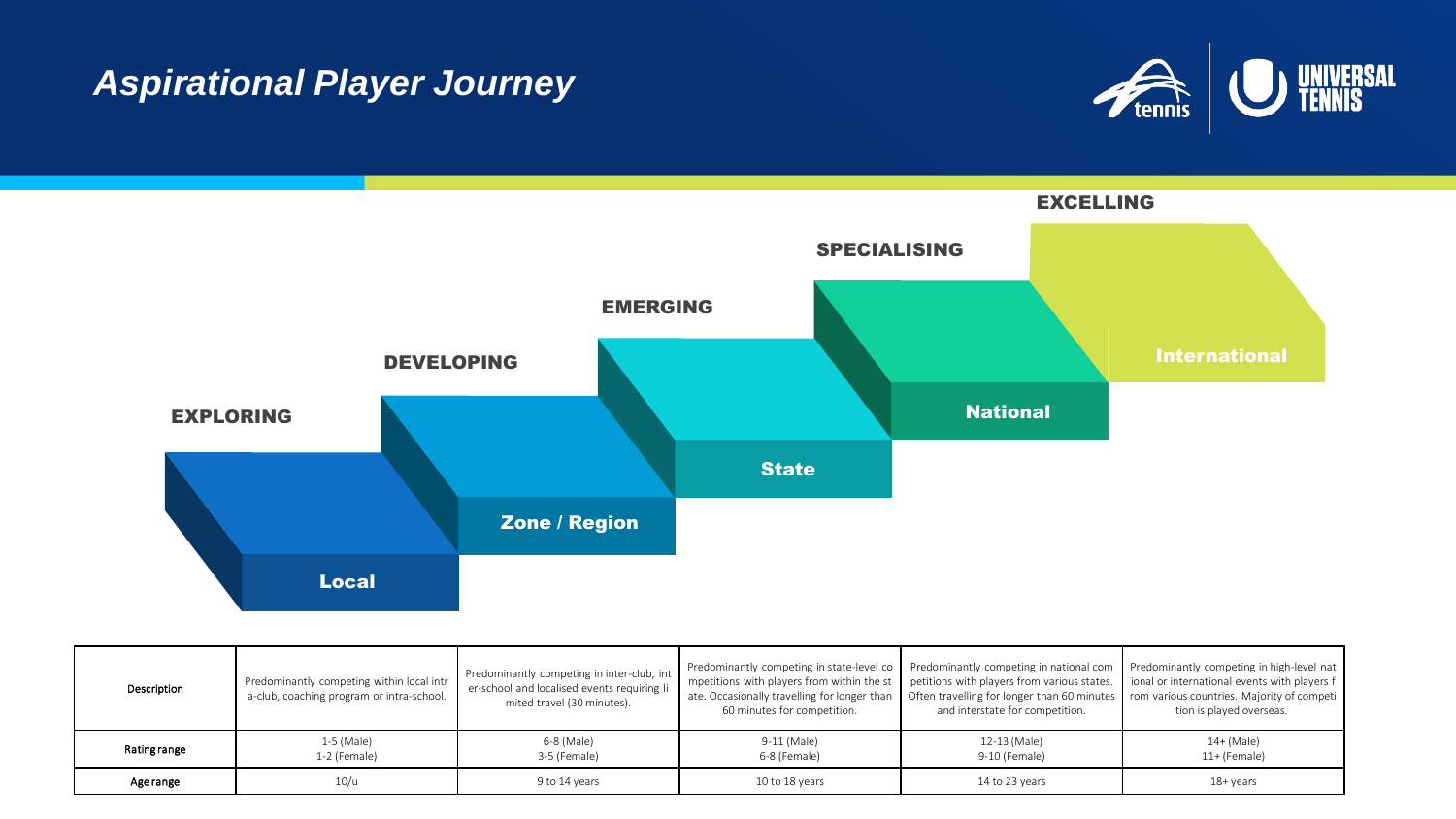## **Aspirational Player Journey**





| Description         | Predominantly competing within local intr<br>a-club, coaching program or intra-school. | Predominantly competing in inter-club, int<br>er-school and localised events requiring li<br>mited travel (30 minutes). | Predominantly competing in state-level co<br>mpetitions with players from within the st<br>ate. Occasionally travelling for longer than<br>60 minutes for competition. | Predominantly competing in national com<br>petitions with players from various states.<br>Often travelling for longer than 60 minutes rom various countries. Majority of competion<br>and interstate for competition. | Predominantly competing in high-level nat<br>ional or international events with players f<br>tion is played overseas. |
|---------------------|----------------------------------------------------------------------------------------|-------------------------------------------------------------------------------------------------------------------------|------------------------------------------------------------------------------------------------------------------------------------------------------------------------|-----------------------------------------------------------------------------------------------------------------------------------------------------------------------------------------------------------------------|-----------------------------------------------------------------------------------------------------------------------|
| <b>Rating range</b> | $1-5$ (Male)<br>1-2 (Female)                                                           | 6-8 (Male)<br>3-5 (Female)                                                                                              | 9-11 (Male)<br>6-8 (Female)                                                                                                                                            | 12-13 (Male)<br>9-10 (Female)                                                                                                                                                                                         | $14+$ (Male)<br>$11+$ (Female)                                                                                        |
| Age range           | 10/u                                                                                   | 9 to 14 years                                                                                                           | 10 to 18 years                                                                                                                                                         | 14 to 23 years                                                                                                                                                                                                        | 18+ years                                                                                                             |